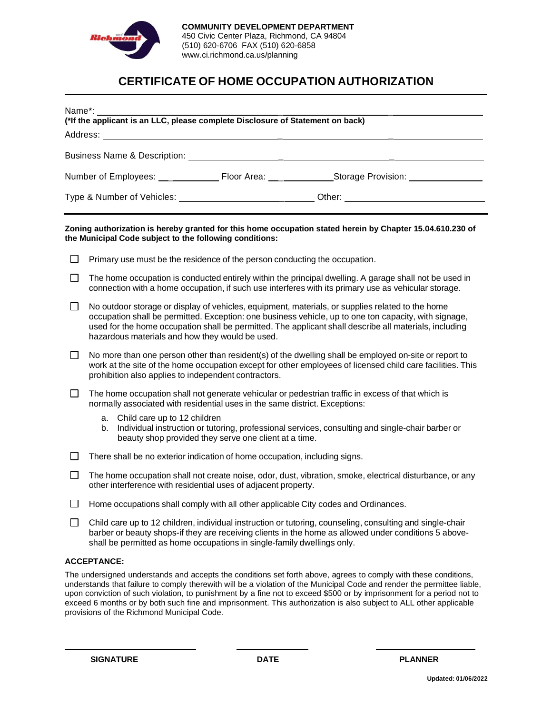

## **CERTIFICATE OF HOME OCCUPATION AUTHORIZATION**

| Name*: Name*:<br>ivame: 2016.<br>(*If the applicant is an LLC, please complete Disclosure of Statement on back)<br>Address: _________<br><u> 1989 - Johann Barbara, martxa alemaniar amerikan a</u> |                                                                                                                                                                                                                                                                                                                                                                        |  |  |
|-----------------------------------------------------------------------------------------------------------------------------------------------------------------------------------------------------|------------------------------------------------------------------------------------------------------------------------------------------------------------------------------------------------------------------------------------------------------------------------------------------------------------------------------------------------------------------------|--|--|
|                                                                                                                                                                                                     |                                                                                                                                                                                                                                                                                                                                                                        |  |  |
|                                                                                                                                                                                                     |                                                                                                                                                                                                                                                                                                                                                                        |  |  |
| Type & Number of Vehicles: ________________________________Other: __________________________________                                                                                                |                                                                                                                                                                                                                                                                                                                                                                        |  |  |
| $\Box$                                                                                                                                                                                              | Zoning authorization is hereby granted for this home occupation stated herein by Chapter 15.04.610.230 of<br>the Municipal Code subject to the following conditions:<br>Primary use must be the residence of the person conducting the occupation.                                                                                                                     |  |  |
| $\Box$                                                                                                                                                                                              | The home occupation is conducted entirely within the principal dwelling. A garage shall not be used in<br>connection with a home occupation, if such use interferes with its primary use as vehicular storage.                                                                                                                                                         |  |  |
| $\perp$                                                                                                                                                                                             | No outdoor storage or display of vehicles, equipment, materials, or supplies related to the home<br>occupation shall be permitted. Exception: one business vehicle, up to one ton capacity, with signage,<br>used for the home occupation shall be permitted. The applicant shall describe all materials, including<br>hazardous materials and how they would be used. |  |  |
| $\Box$                                                                                                                                                                                              | No more than one person other than resident(s) of the dwelling shall be employed on-site or report to<br>work at the site of the home occupation except for other employees of licensed child care facilities. This<br>prohibition also applies to independent contractors.                                                                                            |  |  |
| $\Box$                                                                                                                                                                                              | The home occupation shall not generate vehicular or pedestrian traffic in excess of that which is<br>normally associated with residential uses in the same district. Exceptions:                                                                                                                                                                                       |  |  |

- a. Child care up to 12 children
- b. Individual instruction or tutoring, professional services, consulting and single-chair barber or beauty shop provided they serve one client at a time.
- $\Box$  There shall be no exterior indication of home occupation, including signs.
- $\Box$ The home occupation shall not create noise, odor, dust, vibration, smoke, electrical disturbance, or any other interference with residential uses of adjacent property.
- $\Box$  Home occupations shall comply with all other applicable City codes and Ordinances.
- $\Box$  Child care up to 12 children, individual instruction or tutoring, counseling, consulting and single-chair barber or beauty shops-if they are receiving clients in the home as allowed under conditions 5 aboveshall be permitted as home occupations in single-family dwellings only.

## **ACCEPTANCE:**

The undersigned understands and accepts the conditions set forth above, agrees to comply with these conditions, understands that failure to comply therewith will be a violation of the Municipal Code and render the permittee liable, upon conviction of such violation, to punishment by a fine not to exceed \$500 or by imprisonment for a period not to exceed 6 months or by both such fine and imprisonment. This authorization is also subject to ALL other applicable provisions of the Richmond Municipal Code.